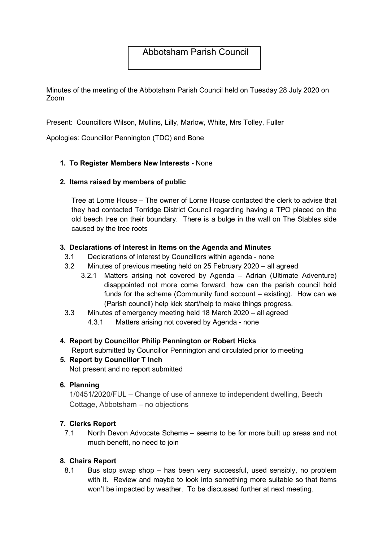# Abbotsham Parish Council

Minutes of the meeting of the Abbotsham Parish Council held on Tuesday 28 July 2020 on Zoom

Present: Councillors Wilson, Mullins, Lilly, Marlow, White, Mrs Tolley, Fuller

Apologies: Councillor Pennington (TDC) and Bone

# 1. To Register Members New Interests - None

### 2. Items raised by members of public

Tree at Lorne House – The owner of Lorne House contacted the clerk to advise that they had contacted Torridge District Council regarding having a TPO placed on the old beech tree on their boundary. There is a bulge in the wall on The Stables side caused by the tree roots

### 3. Declarations of Interest in Items on the Agenda and Minutes

- 3.1 Declarations of interest by Councillors within agenda none
- 3.2 Minutes of previous meeting held on 25 February 2020 all agreed
	- 3.2.1 Matters arising not covered by Agenda Adrian (Ultimate Adventure) disappointed not more come forward, how can the parish council hold funds for the scheme (Community fund account – existing). How can we (Parish council) help kick start/help to make things progress.
- 3.3 Minutes of emergency meeting held 18 March 2020 all agreed
	- 4.3.1 Matters arising not covered by Agenda none

# 4. Report by Councillor Philip Pennington or Robert Hicks

Report submitted by Councillor Pennington and circulated prior to meeting

5. Report by Councillor T Inch Not present and no report submitted

#### 6. Planning

1/0451/2020/FUL – Change of use of annexe to independent dwelling, Beech Cottage, Abbotsham – no objections

# 7. Clerks Report

7.1 North Devon Advocate Scheme – seems to be for more built up areas and not much benefit, no need to join

#### 8. Chairs Report

8.1 Bus stop swap shop – has been very successful, used sensibly, no problem with it. Review and maybe to look into something more suitable so that items won't be impacted by weather. To be discussed further at next meeting.